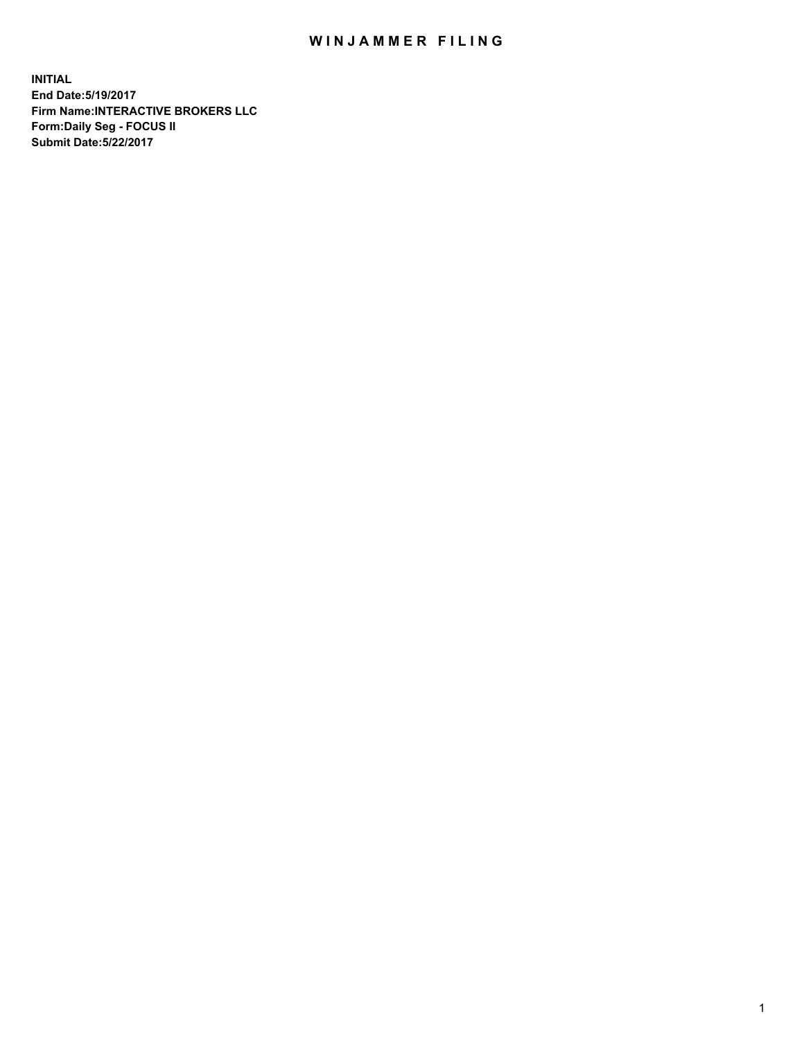## WIN JAMMER FILING

**INITIAL End Date:5/19/2017 Firm Name:INTERACTIVE BROKERS LLC Form:Daily Seg - FOCUS II Submit Date:5/22/2017**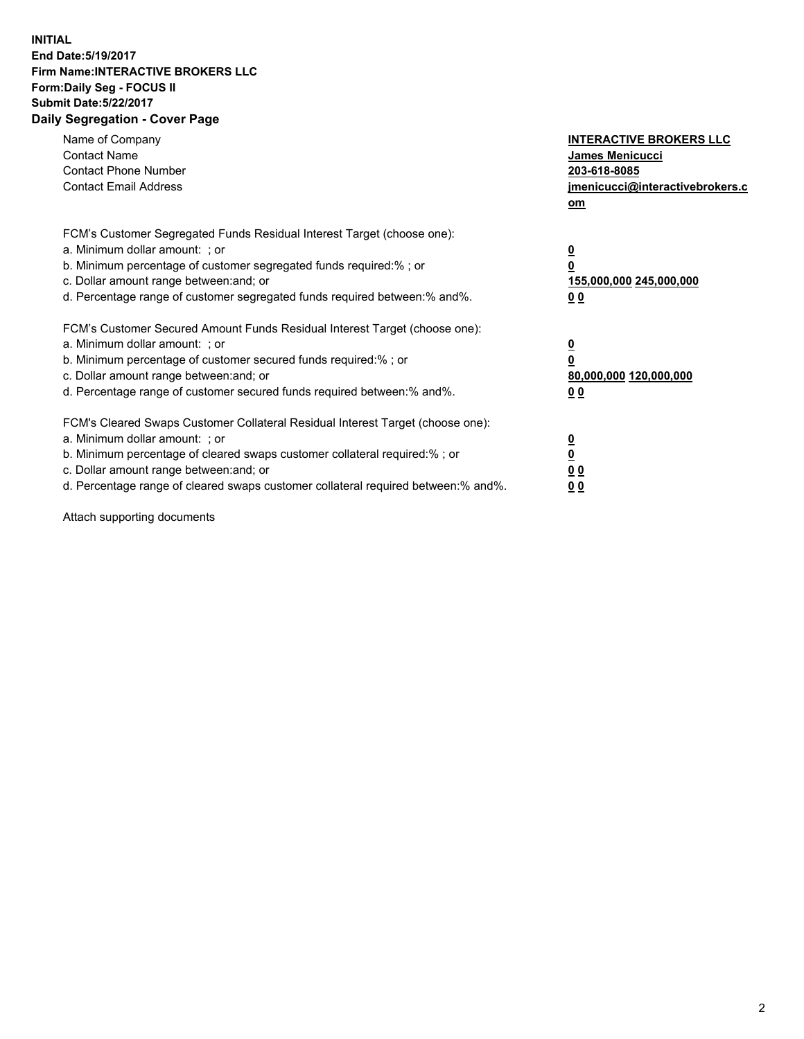## **INITIAL End Date:5/19/2017 Firm Name:INTERACTIVE BROKERS LLC Form:Daily Seg - FOCUS II Submit Date:5/22/2017 Daily Segregation - Cover Page**

| Name of Company<br><b>Contact Name</b><br><b>Contact Phone Number</b><br><b>Contact Email Address</b>                                                                                                                                                                                                                          | <b>INTERACTIVE BROKERS LLC</b><br>James Menicucci<br>203-618-8085<br>jmenicucci@interactivebrokers.c<br>om |
|--------------------------------------------------------------------------------------------------------------------------------------------------------------------------------------------------------------------------------------------------------------------------------------------------------------------------------|------------------------------------------------------------------------------------------------------------|
| FCM's Customer Segregated Funds Residual Interest Target (choose one):<br>a. Minimum dollar amount: ; or<br>b. Minimum percentage of customer segregated funds required:%; or<br>c. Dollar amount range between: and; or<br>d. Percentage range of customer segregated funds required between:% and%.                          | $\overline{\mathbf{0}}$<br>0<br>155,000,000 245,000,000<br>0 <sub>0</sub>                                  |
| FCM's Customer Secured Amount Funds Residual Interest Target (choose one):<br>a. Minimum dollar amount: ; or<br>b. Minimum percentage of customer secured funds required:%; or<br>c. Dollar amount range between: and; or<br>d. Percentage range of customer secured funds required between:% and%.                            | $\overline{\mathbf{0}}$<br>$\overline{\mathbf{0}}$<br>80,000,000 120,000,000<br>00                         |
| FCM's Cleared Swaps Customer Collateral Residual Interest Target (choose one):<br>a. Minimum dollar amount: ; or<br>b. Minimum percentage of cleared swaps customer collateral required:% ; or<br>c. Dollar amount range between: and; or<br>d. Percentage range of cleared swaps customer collateral required between:% and%. | $\overline{\mathbf{0}}$<br>$\overline{\mathbf{0}}$<br>0 <sub>0</sub><br><u>00</u>                          |

Attach supporting documents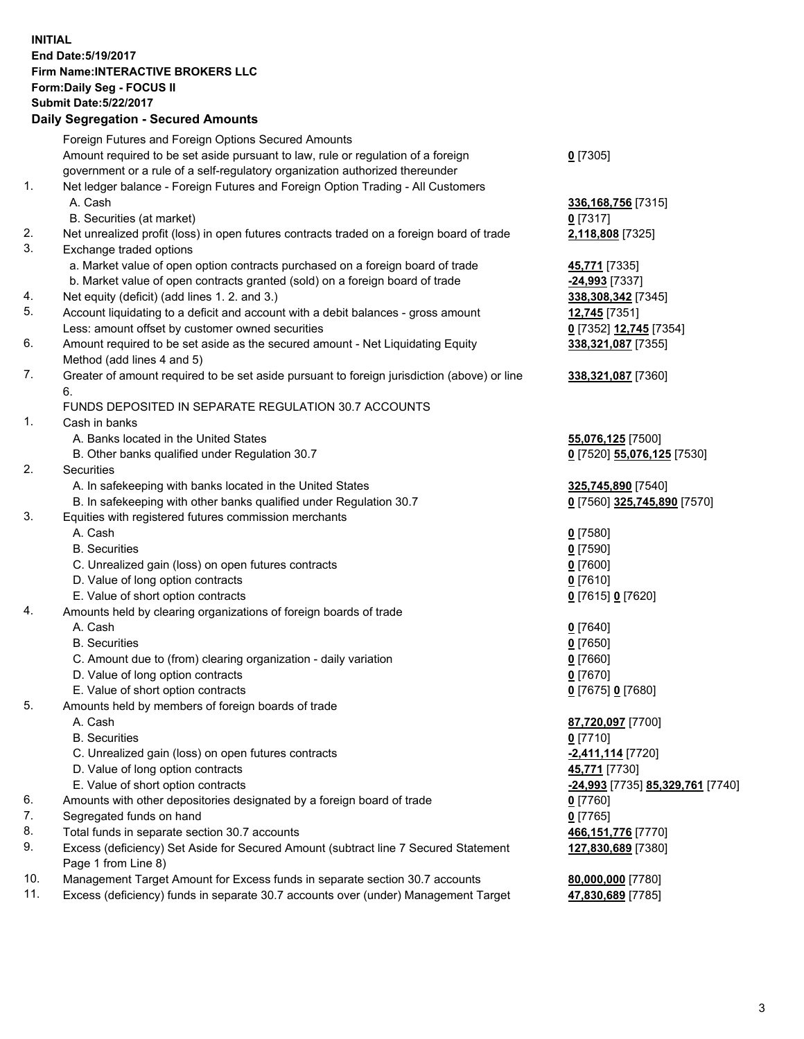## **INITIAL End Date:5/19/2017 Firm Name:INTERACTIVE BROKERS LLC Form:Daily Seg - FOCUS II Submit Date:5/22/2017**

|     | <b>Daily Segregation - Secured Amounts</b>                                                  |                                  |
|-----|---------------------------------------------------------------------------------------------|----------------------------------|
|     | Foreign Futures and Foreign Options Secured Amounts                                         |                                  |
|     | Amount required to be set aside pursuant to law, rule or regulation of a foreign            | $0$ [7305]                       |
|     | government or a rule of a self-regulatory organization authorized thereunder                |                                  |
| 1.  | Net ledger balance - Foreign Futures and Foreign Option Trading - All Customers             |                                  |
|     | A. Cash                                                                                     | 336,168,756 [7315]               |
|     | B. Securities (at market)                                                                   | $0$ [7317]                       |
| 2.  | Net unrealized profit (loss) in open futures contracts traded on a foreign board of trade   | 2,118,808 [7325]                 |
| 3.  | Exchange traded options                                                                     |                                  |
|     | a. Market value of open option contracts purchased on a foreign board of trade              | 45,771 [7335]                    |
|     | b. Market value of open contracts granted (sold) on a foreign board of trade                | <u>-24,993</u> [7337]            |
| 4.  | Net equity (deficit) (add lines 1.2. and 3.)                                                | 338,308,342 [7345]               |
| 5.  | Account liquidating to a deficit and account with a debit balances - gross amount           | 12,745 [7351]                    |
|     | Less: amount offset by customer owned securities                                            | 0 [7352] 12,745 [7354]           |
| 6.  | Amount required to be set aside as the secured amount - Net Liquidating Equity              | 338,321,087 [7355]               |
|     | Method (add lines 4 and 5)                                                                  |                                  |
| 7.  | Greater of amount required to be set aside pursuant to foreign jurisdiction (above) or line | 338,321,087 [7360]               |
|     | 6.                                                                                          |                                  |
|     | FUNDS DEPOSITED IN SEPARATE REGULATION 30.7 ACCOUNTS                                        |                                  |
| 1.  | Cash in banks                                                                               |                                  |
|     | A. Banks located in the United States                                                       | 55,076,125 [7500]                |
|     | B. Other banks qualified under Regulation 30.7                                              | 0 [7520] 55,076,125 [7530]       |
| 2.  | Securities                                                                                  |                                  |
|     | A. In safekeeping with banks located in the United States                                   | 325,745,890 [7540]               |
|     | B. In safekeeping with other banks qualified under Regulation 30.7                          | 0 [7560] 325,745,890 [7570]      |
| 3.  | Equities with registered futures commission merchants                                       |                                  |
|     | A. Cash                                                                                     | $0$ [7580]                       |
|     | <b>B.</b> Securities                                                                        | <u>0</u> [7590]                  |
|     | C. Unrealized gain (loss) on open futures contracts                                         | 0 [7600]                         |
|     | D. Value of long option contracts                                                           | $0$ [7610]                       |
|     | E. Value of short option contracts                                                          | 0 [7615] 0 [7620]                |
| 4.  | Amounts held by clearing organizations of foreign boards of trade                           |                                  |
|     | A. Cash                                                                                     | $0$ [7640]                       |
|     | <b>B.</b> Securities                                                                        | $0$ [7650]                       |
|     | C. Amount due to (from) clearing organization - daily variation                             | 0 [7660]                         |
|     | D. Value of long option contracts                                                           | $0$ [7670]                       |
|     | E. Value of short option contracts                                                          | 0 [7675] 0 [7680]                |
| 5.  | Amounts held by members of foreign boards of trade                                          |                                  |
|     | A. Cash                                                                                     | 87,720,097 [7700]                |
|     | <b>B.</b> Securities                                                                        | 0 [7710]                         |
|     | C. Unrealized gain (loss) on open futures contracts                                         | <mark>-2,411,114</mark> [7720]   |
|     | D. Value of long option contracts                                                           | 45,771 [7730]                    |
|     | E. Value of short option contracts                                                          | -24,993 [7735] 85,329,761 [7740] |
| 6.  | Amounts with other depositories designated by a foreign board of trade                      | $0$ [7760]                       |
| 7.  | Segregated funds on hand                                                                    | $0$ [7765]                       |
| 8.  | Total funds in separate section 30.7 accounts                                               | 466, 151, 776 [7770]             |
| 9.  | Excess (deficiency) Set Aside for Secured Amount (subtract line 7 Secured Statement         | 127,830,689 [7380]               |
|     | Page 1 from Line 8)                                                                         |                                  |
| 10. | Management Target Amount for Excess funds in separate section 30.7 accounts                 | 80,000,000 [7780]                |
| 11. | Excess (deficiency) funds in separate 30.7 accounts over (under) Management Target          | 47,830,689 [7785]                |
|     |                                                                                             |                                  |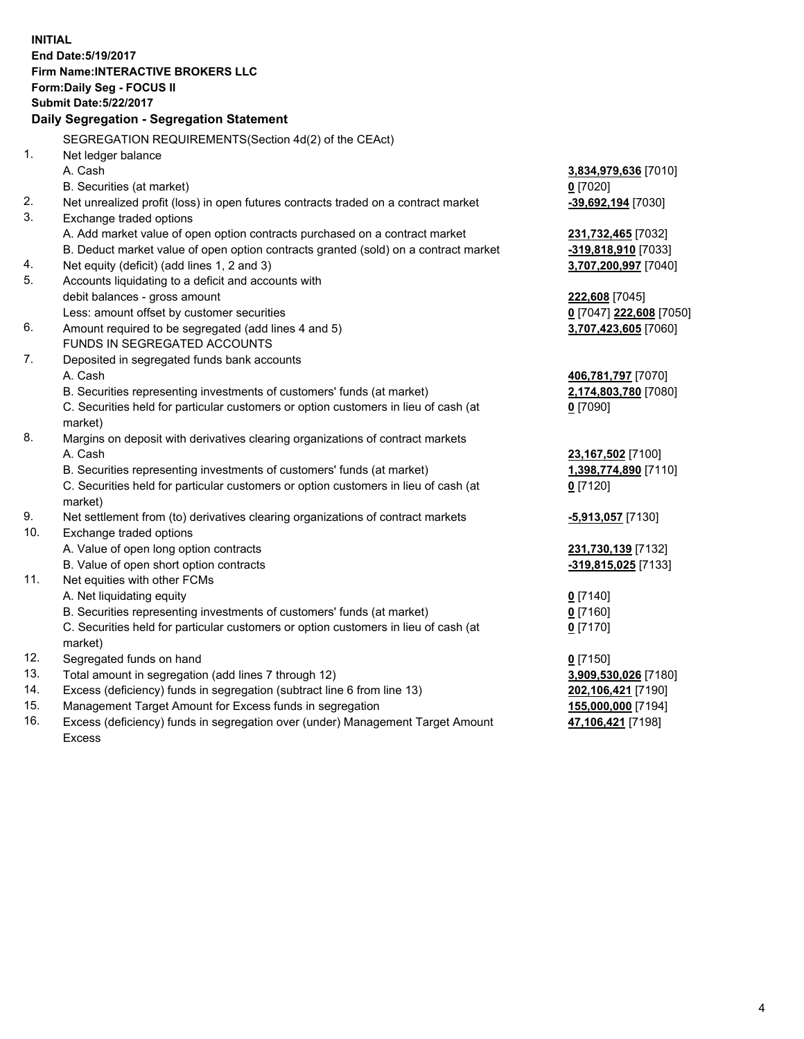**INITIAL End Date:5/19/2017 Firm Name:INTERACTIVE BROKERS LLC Form:Daily Seg - FOCUS II Submit Date:5/22/2017 Daily Segregation - Segregation Statement** SEGREGATION REQUIREMENTS(Section 4d(2) of the CEAct) 1. Net ledger balance A. Cash **3,834,979,636** [7010] B. Securities (at market) **0** [7020] 2. Net unrealized profit (loss) in open futures contracts traded on a contract market **-39,692,194** [7030] 3. Exchange traded options A. Add market value of open option contracts purchased on a contract market **231,732,465** [7032] B. Deduct market value of open option contracts granted (sold) on a contract market **-319,818,910** [7033] 4. Net equity (deficit) (add lines 1, 2 and 3) **3,707,200,997** [7040] 5. Accounts liquidating to a deficit and accounts with debit balances - gross amount **222,608** [7045] Less: amount offset by customer securities **0** [7047] **222,608** [7050] 6. Amount required to be segregated (add lines 4 and 5) **3,707,423,605** [7060] FUNDS IN SEGREGATED ACCOUNTS 7. Deposited in segregated funds bank accounts A. Cash **406,781,797** [7070] B. Securities representing investments of customers' funds (at market) **2,174,803,780** [7080] C. Securities held for particular customers or option customers in lieu of cash (at market) **0** [7090] 8. Margins on deposit with derivatives clearing organizations of contract markets A. Cash **23,167,502** [7100] B. Securities representing investments of customers' funds (at market) **1,398,774,890** [7110] C. Securities held for particular customers or option customers in lieu of cash (at market) **0** [7120] 9. Net settlement from (to) derivatives clearing organizations of contract markets **-5,913,057** [7130] 10. Exchange traded options A. Value of open long option contracts **231,730,139** [7132] B. Value of open short option contracts **-319,815,025** [7133] 11. Net equities with other FCMs A. Net liquidating equity **0** [7140] B. Securities representing investments of customers' funds (at market) **0** [7160] C. Securities held for particular customers or option customers in lieu of cash (at market) **0** [7170] 12. Segregated funds on hand **0** [7150] 13. Total amount in segregation (add lines 7 through 12) **3,909,530,026** [7180] 14. Excess (deficiency) funds in segregation (subtract line 6 from line 13) **202,106,421** [7190] 15. Management Target Amount for Excess funds in segregation **155,000,000** [7194] **47,106,421** [7198]

16. Excess (deficiency) funds in segregation over (under) Management Target Amount Excess